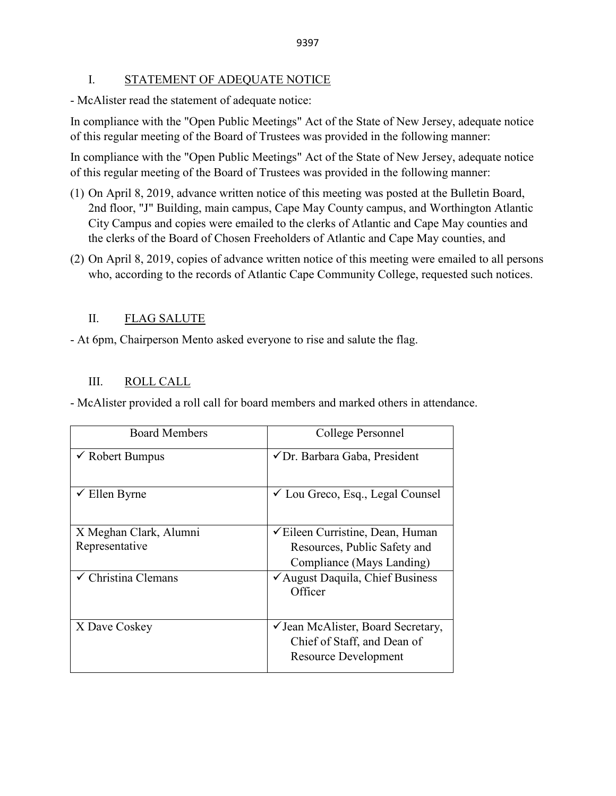### I. STATEMENT OF ADEQUATE NOTICE

- McAlister read the statement of adequate notice:

In compliance with the "Open Public Meetings" Act of the State of New Jersey, adequate notice of this regular meeting of the Board of Trustees was provided in the following manner:

In compliance with the "Open Public Meetings" Act of the State of New Jersey, adequate notice of this regular meeting of the Board of Trustees was provided in the following manner:

- (1) On April 8, 2019, advance written notice of this meeting was posted at the Bulletin Board, 2nd floor, "J" Building, main campus, Cape May County campus, and Worthington Atlantic City Campus and copies were emailed to the clerks of Atlantic and Cape May counties and the clerks of the Board of Chosen Freeholders of Atlantic and Cape May counties, and
- (2) On April 8, 2019, copies of advance written notice of this meeting were emailed to all persons who, according to the records of Atlantic Cape Community College, requested such notices.

# II. FLAG SALUTE

- At 6pm, Chairperson Mento asked everyone to rise and salute the flag.

# III. ROLL CALL

- McAlister provided a roll call for board members and marked others in attendance.

| <b>Board Members</b>           | College Personnel                                      |
|--------------------------------|--------------------------------------------------------|
| $\checkmark$ Robert Bumpus     | √Dr. Barbara Gaba, President                           |
| $\checkmark$ Ellen Byrne       | $\checkmark$ Lou Greco, Esq., Legal Counsel            |
| X Meghan Clark, Alumni         | <del></del> <del></del> Eileen Curristine, Dean, Human |
| Representative                 | Resources, Public Safety and                           |
|                                | Compliance (Mays Landing)                              |
| $\checkmark$ Christina Clemans | $\checkmark$ August Daquila, Chief Business<br>Officer |
| X Dave Coskey                  | ✓ Jean McAlister, Board Secretary,                     |
|                                | Chief of Staff, and Dean of                            |
|                                | <b>Resource Development</b>                            |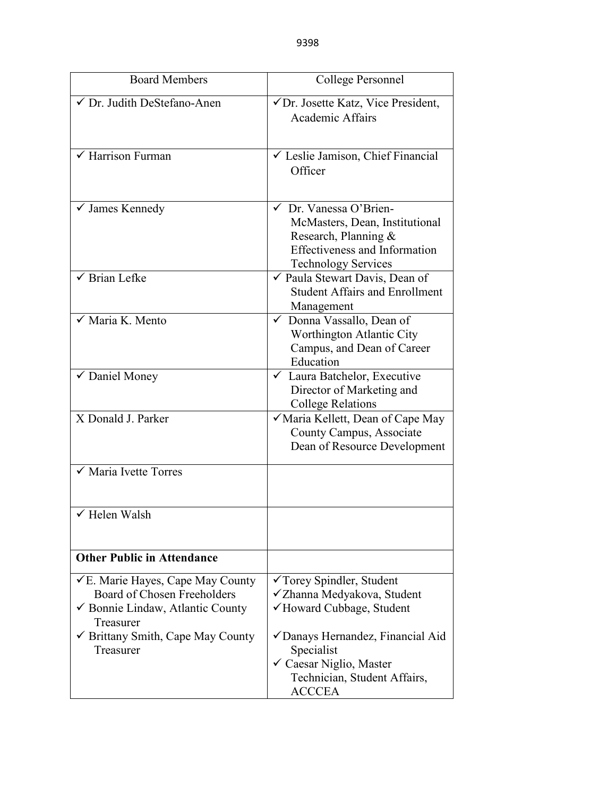| <b>Board Members</b>                                                                                                         | College Personnel                                                                                                                                                 |  |
|------------------------------------------------------------------------------------------------------------------------------|-------------------------------------------------------------------------------------------------------------------------------------------------------------------|--|
| √ Dr. Judith DeStefano-Anen                                                                                                  | √Dr. Josette Katz, Vice President,<br><b>Academic Affairs</b>                                                                                                     |  |
| $\sqrt{\frac{1}{2}}$ Harrison Furman                                                                                         | └ Leslie Jamison, Chief Financial<br>Officer                                                                                                                      |  |
| $\checkmark$ James Kennedy                                                                                                   | $\checkmark$ Dr. Vanessa O'Brien-<br>McMasters, Dean, Institutional<br>Research, Planning &<br><b>Effectiveness and Information</b><br><b>Technology Services</b> |  |
| <b>Brian Lefke</b>                                                                                                           | ✔ Paula Stewart Davis, Dean of<br><b>Student Affairs and Enrollment</b><br>Management                                                                             |  |
| Maria K. Mento                                                                                                               | Donna Vassallo, Dean of<br>Worthington Atlantic City<br>Campus, and Dean of Career<br>Education                                                                   |  |
| ✔ Daniel Money                                                                                                               | ← Laura Batchelor, Executive<br>Director of Marketing and<br><b>College Relations</b>                                                                             |  |
| X Donald J. Parker                                                                                                           | √ Maria Kellett, Dean of Cape May<br>County Campus, Associate<br>Dean of Resource Development                                                                     |  |
| Maria Ivette Torres                                                                                                          |                                                                                                                                                                   |  |
| √ Helen Walsh                                                                                                                |                                                                                                                                                                   |  |
| <b>Other Public in Attendance</b>                                                                                            |                                                                                                                                                                   |  |
| $\checkmark$ E. Marie Hayes, Cape May County<br>Board of Chosen Freeholders<br>✔ Bonnie Lindaw, Atlantic County<br>Treasurer | √Torey Spindler, Student<br>√Zhanna Medyakova, Student<br>√Howard Cubbage, Student                                                                                |  |
| $\checkmark$ Brittany Smith, Cape May County<br>Treasurer                                                                    | √Danays Hernandez, Financial Aid<br>Specialist<br>$\checkmark$ Caesar Niglio, Master<br>Technician, Student Affairs,<br><b>ACCCEA</b>                             |  |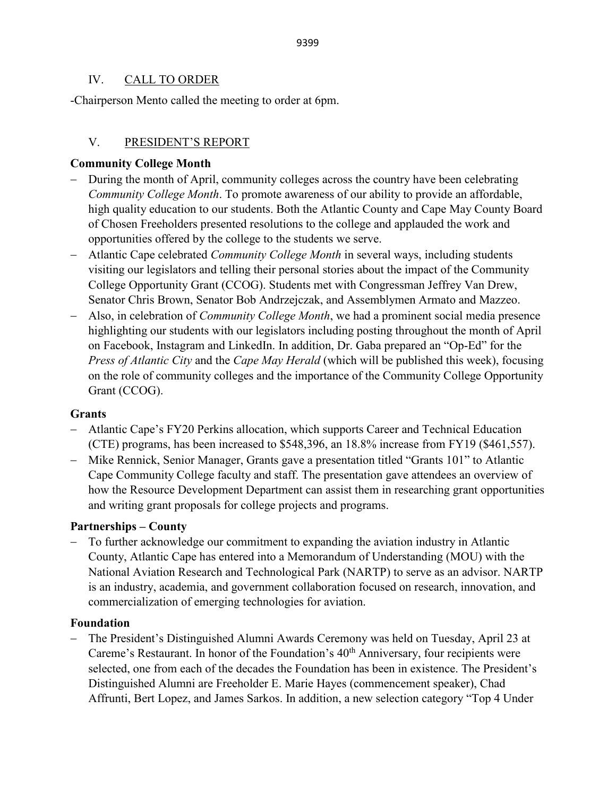## IV. CALL TO ORDER

-Chairperson Mento called the meeting to order at 6pm.

# V. PRESIDENT'S REPORT

## **Community College Month**

- During the month of April, community colleges across the country have been celebrating *Community College Month*. To promote awareness of our ability to provide an affordable, high quality education to our students. Both the Atlantic County and Cape May County Board of Chosen Freeholders presented resolutions to the college and applauded the work and opportunities offered by the college to the students we serve.
- − Atlantic Cape celebrated *Community College Month* in several ways, including students visiting our legislators and telling their personal stories about the impact of the Community College Opportunity Grant (CCOG). Students met with Congressman Jeffrey Van Drew, Senator Chris Brown, Senator Bob Andrzejczak, and Assemblymen Armato and Mazzeo.
- − Also, in celebration of *Community College Month*, we had a prominent social media presence highlighting our students with our legislators including posting throughout the month of April on Facebook, Instagram and LinkedIn. In addition, Dr. Gaba prepared an "Op-Ed" for the *Press of Atlantic City* and the *Cape May Herald* (which will be published this week), focusing on the role of community colleges and the importance of the Community College Opportunity Grant (CCOG).

### **Grants**

- − Atlantic Cape's FY20 Perkins allocation, which supports Career and Technical Education (CTE) programs, has been increased to \$548,396, an 18.8% increase from FY19 (\$461,557).
- − Mike Rennick, Senior Manager, Grants gave a presentation titled "Grants 101" to Atlantic Cape Community College faculty and staff. The presentation gave attendees an overview of how the Resource Development Department can assist them in researching grant opportunities and writing grant proposals for college projects and programs.

## **Partnerships – County**

− To further acknowledge our commitment to expanding the aviation industry in Atlantic County, Atlantic Cape has entered into a Memorandum of Understanding (MOU) with the National Aviation Research and Technological Park (NARTP) to serve as an advisor. NARTP is an industry, academia, and government collaboration focused on research, innovation, and commercialization of emerging technologies for aviation.

### **Foundation**

− The President's Distinguished Alumni Awards Ceremony was held on Tuesday, April 23 at Careme's Restaurant. In honor of the Foundation's 40<sup>th</sup> Anniversary, four recipients were selected, one from each of the decades the Foundation has been in existence. The President's Distinguished Alumni are Freeholder E. Marie Hayes (commencement speaker), Chad Affrunti, Bert Lopez, and James Sarkos. In addition, a new selection category "Top 4 Under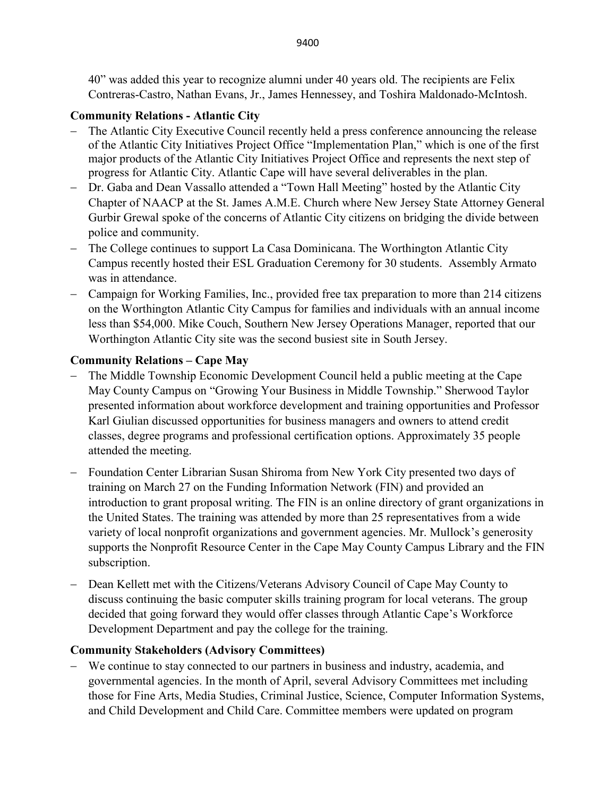40" was added this year to recognize alumni under 40 years old. The recipients are Felix Contreras-Castro, Nathan Evans, Jr., James Hennessey, and Toshira Maldonado-McIntosh.

# **Community Relations - Atlantic City**

- The Atlantic City Executive Council recently held a press conference announcing the release of the Atlantic City Initiatives Project Office "Implementation Plan," which is one of the first major products of the Atlantic City Initiatives Project Office and represents the next step of progress for Atlantic City. Atlantic Cape will have several deliverables in the plan.
- − Dr. Gaba and Dean Vassallo attended a "Town Hall Meeting" hosted by the Atlantic City Chapter of NAACP at the St. James A.M.E. Church where New Jersey State Attorney General Gurbir Grewal spoke of the concerns of Atlantic City citizens on bridging the divide between police and community.
- − The College continues to support La Casa Dominicana. The Worthington Atlantic City Campus recently hosted their ESL Graduation Ceremony for 30 students. Assembly Armato was in attendance.
- − Campaign for Working Families, Inc., provided free tax preparation to more than 214 citizens on the Worthington Atlantic City Campus for families and individuals with an annual income less than \$54,000. Mike Couch, Southern New Jersey Operations Manager, reported that our Worthington Atlantic City site was the second busiest site in South Jersey.

# **Community Relations – Cape May**

- − The Middle Township Economic Development Council held a public meeting at the Cape May County Campus on "Growing Your Business in Middle Township." Sherwood Taylor presented information about workforce development and training opportunities and Professor Karl Giulian discussed opportunities for business managers and owners to attend credit classes, degree programs and professional certification options. Approximately 35 people attended the meeting.
- − Foundation Center Librarian Susan Shiroma from New York City presented two days of training on March 27 on the Funding Information Network (FIN) and provided an introduction to grant proposal writing. The FIN is an online directory of grant organizations in the United States. The training was attended by more than 25 representatives from a wide variety of local nonprofit organizations and government agencies. Mr. Mullock's generosity supports the Nonprofit Resource Center in the Cape May County Campus Library and the FIN subscription.
- − Dean Kellett met with the Citizens/Veterans Advisory Council of Cape May County to discuss continuing the basic computer skills training program for local veterans. The group decided that going forward they would offer classes through Atlantic Cape's Workforce Development Department and pay the college for the training.

# **Community Stakeholders (Advisory Committees)**

− We continue to stay connected to our partners in business and industry, academia, and governmental agencies. In the month of April, several Advisory Committees met including those for Fine Arts, Media Studies, Criminal Justice, Science, Computer Information Systems, and Child Development and Child Care. Committee members were updated on program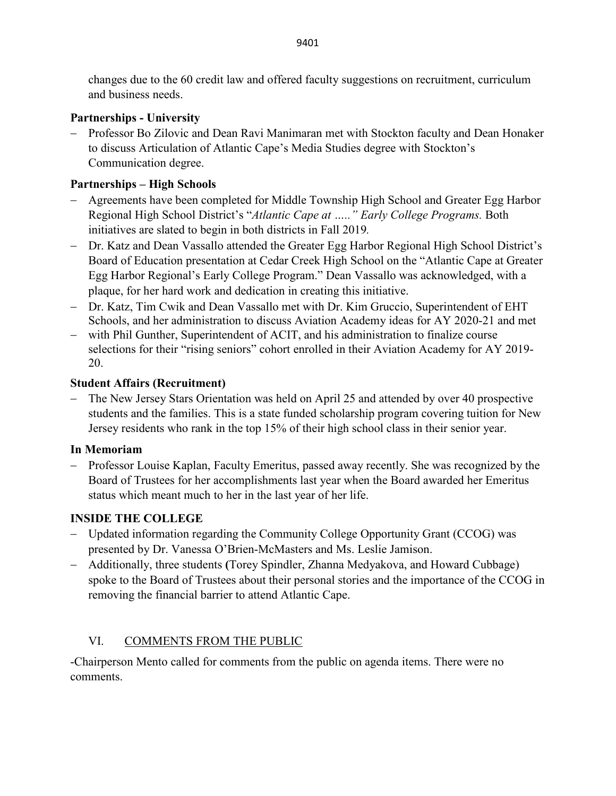changes due to the 60 credit law and offered faculty suggestions on recruitment, curriculum and business needs.

## **Partnerships - University**

− Professor Bo Zilovic and Dean Ravi Manimaran met with Stockton faculty and Dean Honaker to discuss Articulation of Atlantic Cape's Media Studies degree with Stockton's Communication degree.

# **Partnerships – High Schools**

- − Agreements have been completed for Middle Township High School and Greater Egg Harbor Regional High School District's "*Atlantic Cape at ….." Early College Programs.* Both initiatives are slated to begin in both districts in Fall 2019*.*
- − Dr. Katz and Dean Vassallo attended the Greater Egg Harbor Regional High School District's Board of Education presentation at Cedar Creek High School on the "Atlantic Cape at Greater Egg Harbor Regional's Early College Program." Dean Vassallo was acknowledged, with a plaque, for her hard work and dedication in creating this initiative.
- − Dr. Katz, Tim Cwik and Dean Vassallo met with Dr. Kim Gruccio, Superintendent of EHT Schools, and her administration to discuss Aviation Academy ideas for AY 2020-21 and met
- − with Phil Gunther, Superintendent of ACIT, and his administration to finalize course selections for their "rising seniors" cohort enrolled in their Aviation Academy for AY 2019-20.

# **Student Affairs (Recruitment)**

− The New Jersey Stars Orientation was held on April 25 and attended by over 40 prospective students and the families. This is a state funded scholarship program covering tuition for New Jersey residents who rank in the top 15% of their high school class in their senior year.

# **In Memoriam**

− Professor Louise Kaplan, Faculty Emeritus, passed away recently. She was recognized by the Board of Trustees for her accomplishments last year when the Board awarded her Emeritus status which meant much to her in the last year of her life.

# **INSIDE THE COLLEGE**

- − Updated information regarding the Community College Opportunity Grant (CCOG) was presented by Dr. Vanessa O'Brien-McMasters and Ms. Leslie Jamison.
- − Additionally, three students **(**Torey Spindler, Zhanna Medyakova, and Howard Cubbage) spoke to the Board of Trustees about their personal stories and the importance of the CCOG in removing the financial barrier to attend Atlantic Cape.

# VI. COMMENTS FROM THE PUBLIC

-Chairperson Mento called for comments from the public on agenda items. There were no comments.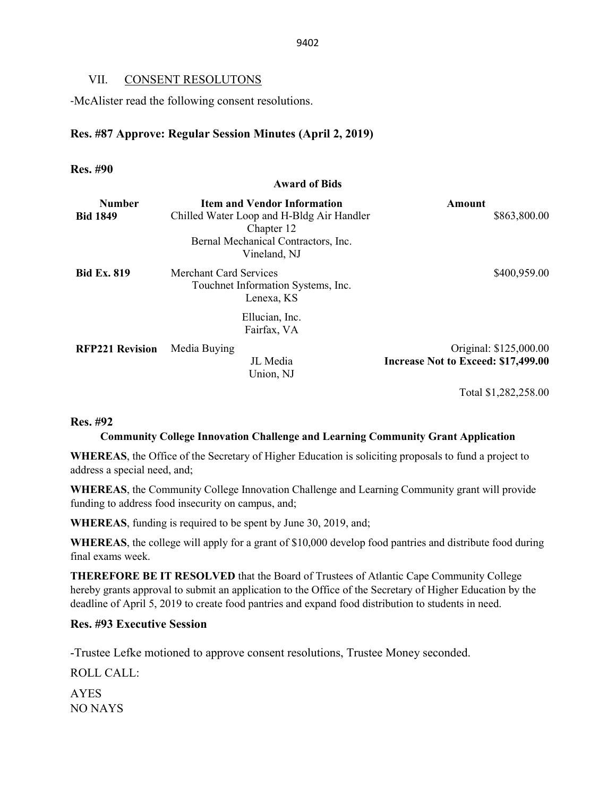### VII. CONSENT RESOLUTONS

-McAlister read the following consent resolutions.

### **Res. #87 Approve: Regular Session Minutes (April 2, 2019)**

#### **Res. #90**

#### **Award of Bids**

| <b>Number</b><br><b>Bid 1849</b> | <b>Item and Vendor Information</b><br>Chilled Water Loop and H-Bldg Air Handler<br>Chapter 12<br>Bernal Mechanical Contractors, Inc.<br>Vineland, NJ | Amount<br>\$863,800.00              |
|----------------------------------|------------------------------------------------------------------------------------------------------------------------------------------------------|-------------------------------------|
| <b>Bid Ex. 819</b>               | <b>Merchant Card Services</b><br>Touchnet Information Systems, Inc.<br>Lenexa, KS                                                                    | \$400,959.00                        |
| <b>RFP221 Revision</b>           | Ellucian, Inc.<br>Fairfax, VA<br>Media Buying                                                                                                        | Original: \$125,000.00              |
|                                  | JL Media<br>Union, NJ                                                                                                                                | Increase Not to Exceed: \$17,499.00 |

Total \$1,282,258.00

#### **Res. #92**

### **Community College Innovation Challenge and Learning Community Grant Application**

**WHEREAS**, the Office of the Secretary of Higher Education is soliciting proposals to fund a project to address a special need, and;

**WHEREAS**, the Community College Innovation Challenge and Learning Community grant will provide funding to address food insecurity on campus, and;

**WHEREAS**, funding is required to be spent by June 30, 2019, and;

**WHEREAS**, the college will apply for a grant of \$10,000 develop food pantries and distribute food during final exams week.

**THEREFORE BE IT RESOLVED** that the Board of Trustees of Atlantic Cape Community College hereby grants approval to submit an application to the Office of the Secretary of Higher Education by the deadline of April 5, 2019 to create food pantries and expand food distribution to students in need.

### **Res. #93 Executive Session**

-Trustee Lefke motioned to approve consent resolutions, Trustee Money seconded.

ROLL CALL:

AYES NO NAYS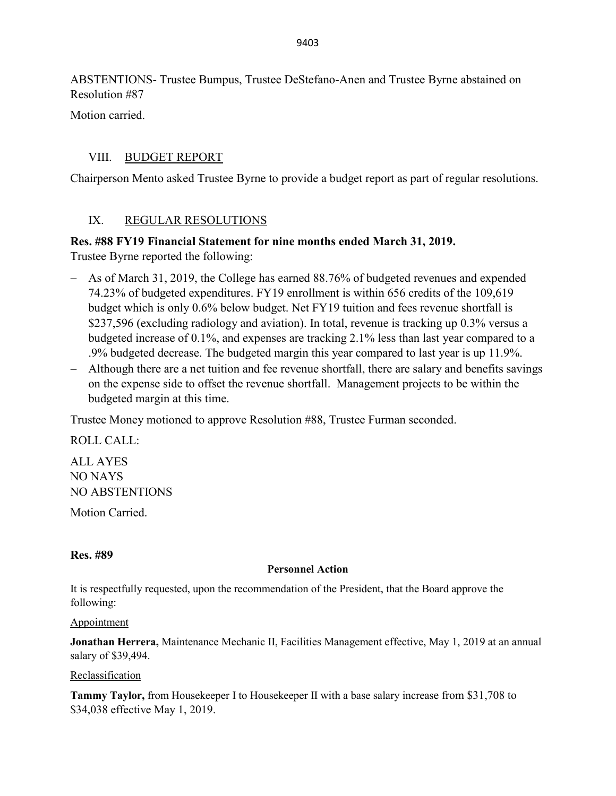ABSTENTIONS- Trustee Bumpus, Trustee DeStefano-Anen and Trustee Byrne abstained on Resolution #87

Motion carried.

# VIII. BUDGET REPORT

Chairperson Mento asked Trustee Byrne to provide a budget report as part of regular resolutions.

## IX. REGULAR RESOLUTIONS

**Res. #88 FY19 Financial Statement for nine months ended March 31, 2019.** Trustee Byrne reported the following:

- − As of March 31, 2019, the College has earned 88.76% of budgeted revenues and expended 74.23% of budgeted expenditures. FY19 enrollment is within 656 credits of the 109,619 budget which is only 0.6% below budget. Net FY19 tuition and fees revenue shortfall is \$237,596 (excluding radiology and aviation). In total, revenue is tracking up 0.3% versus a budgeted increase of 0.1%, and expenses are tracking 2.1% less than last year compared to a .9% budgeted decrease. The budgeted margin this year compared to last year is up 11.9%.
- − Although there are a net tuition and fee revenue shortfall, there are salary and benefits savings on the expense side to offset the revenue shortfall. Management projects to be within the budgeted margin at this time.

Trustee Money motioned to approve Resolution #88, Trustee Furman seconded.

ROLL CALL:

ALL AYES NO NAYS NO ABSTENTIONS Motion Carried.

## **Res. #89**

### **Personnel Action**

It is respectfully requested, upon the recommendation of the President, that the Board approve the following:

### Appointment

**Jonathan Herrera,** Maintenance Mechanic II, Facilities Management effective, May 1, 2019 at an annual salary of \$39,494.

### Reclassification

**Tammy Taylor,** from Housekeeper I to Housekeeper II with a base salary increase from \$31,708 to \$34,038 effective May 1, 2019.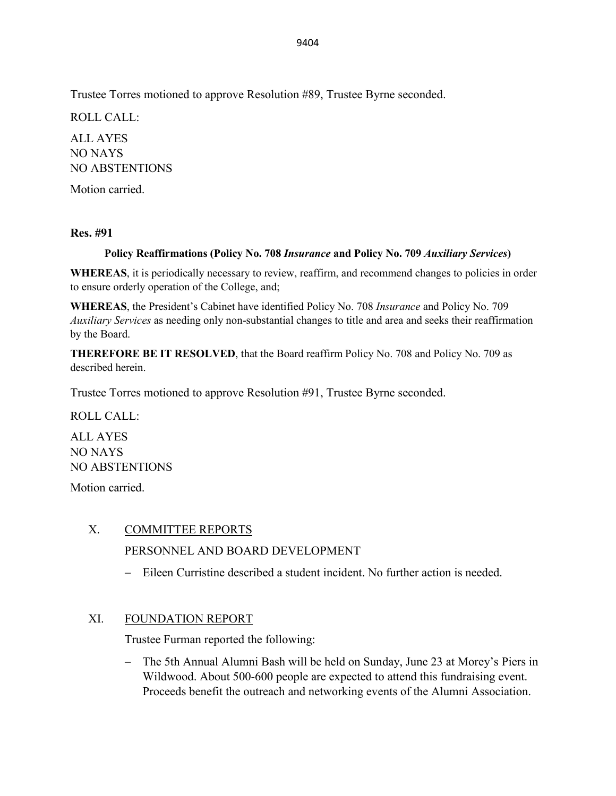Trustee Torres motioned to approve Resolution #89, Trustee Byrne seconded.

ROLL CALL:

ALL AYES NO NAYS NO ABSTENTIONS

Motion carried.

## **Res. #91**

## **Policy Reaffirmations (Policy No. 708** *Insurance* **and Policy No. 709** *Auxiliary Services***)**

**WHEREAS**, it is periodically necessary to review, reaffirm, and recommend changes to policies in order to ensure orderly operation of the College, and;

**WHEREAS**, the President's Cabinet have identified Policy No. 708 *Insurance* and Policy No. 709 *Auxiliary Services* as needing only non-substantial changes to title and area and seeks their reaffirmation by the Board.

**THEREFORE BE IT RESOLVED**, that the Board reaffirm Policy No. 708 and Policy No. 709 as described herein.

Trustee Torres motioned to approve Resolution #91, Trustee Byrne seconded.

ROLL CALL:

ALL AYES NO NAYS NO ABSTENTIONS

Motion carried.

## X. COMMITTEE REPORTS

## PERSONNEL AND BOARD DEVELOPMENT

− Eileen Curristine described a student incident. No further action is needed.

## XI. FOUNDATION REPORT

Trustee Furman reported the following:

− The 5th Annual Alumni Bash will be held on Sunday, June 23 at Morey's Piers in Wildwood. About 500-600 people are expected to attend this fundraising event. Proceeds benefit the outreach and networking events of the Alumni Association.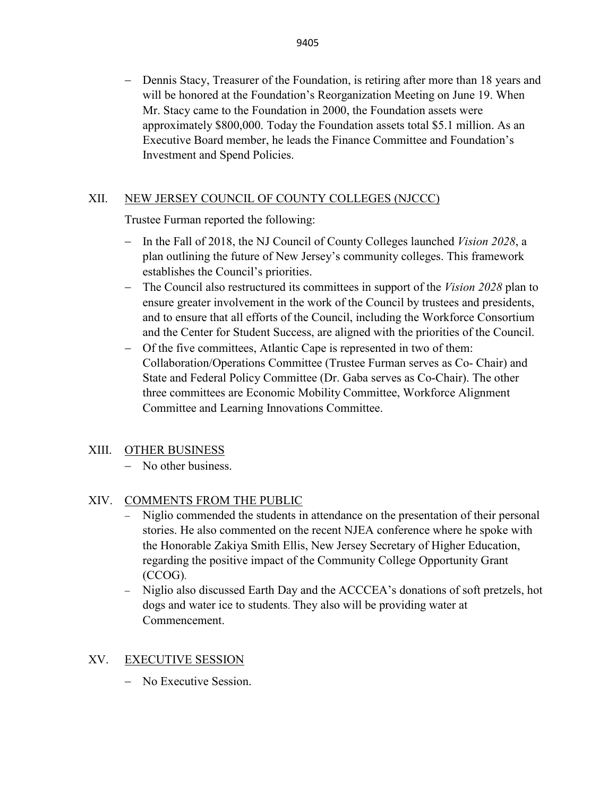− Dennis Stacy, Treasurer of the Foundation, is retiring after more than 18 years and will be honored at the Foundation's Reorganization Meeting on June 19. When Mr. Stacy came to the Foundation in 2000, the Foundation assets were approximately \$800,000. Today the Foundation assets total \$5.1 million. As an Executive Board member, he leads the Finance Committee and Foundation's Investment and Spend Policies.

## XII. NEW JERSEY COUNCIL OF COUNTY COLLEGES (NJCCC)

Trustee Furman reported the following:

- − In the Fall of 2018, the NJ Council of County Colleges launched *Vision 2028*, a plan outlining the future of New Jersey's community colleges. This framework establishes the Council's priorities.
- − The Council also restructured its committees in support of the *Vision 2028* plan to ensure greater involvement in the work of the Council by trustees and presidents, and to ensure that all efforts of the Council, including the Workforce Consortium and the Center for Student Success, are aligned with the priorities of the Council.
- − Of the five committees, Atlantic Cape is represented in two of them: Collaboration/Operations Committee (Trustee Furman serves as Co- Chair) and State and Federal Policy Committee (Dr. Gaba serves as Co-Chair). The other three committees are Economic Mobility Committee, Workforce Alignment Committee and Learning Innovations Committee.

### XIII. OTHER BUSINESS

− No other business.

## XIV. COMMENTS FROM THE PUBLIC

- Niglio commended the students in attendance on the presentation of their personal stories. He also commented on the recent NJEA conference where he spoke with the Honorable Zakiya Smith Ellis, New Jersey Secretary of Higher Education, regarding the positive impact of the Community College Opportunity Grant (CCOG).
- − Niglio also discussed Earth Day and the ACCCEA's donations of soft pretzels, hot dogs and water ice to students. They also will be providing water at Commencement.

### XV. EXECUTIVE SESSION

− No Executive Session.